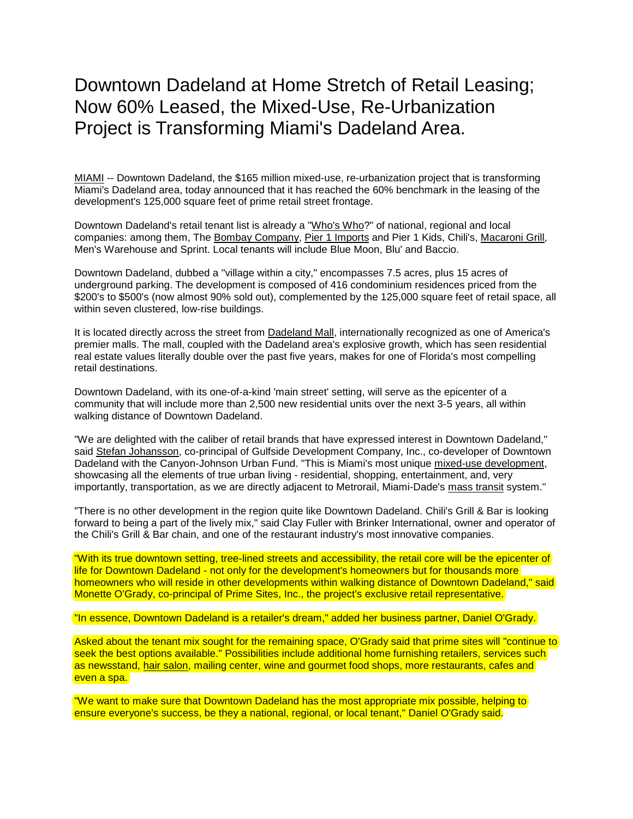## Downtown Dadeland at Home Stretch of Retail Leasing; Now 60% Leased, the Mixed-Use, Re-Urbanization Project is Transforming Miami's Dadeland Area.

[MIAMI](http://encyclopedia2.thefreedictionary.com/MIAMI) -- Downtown Dadeland, the \$165 million mixed-use, re-urbanization project that is transforming Miami's Dadeland area, today announced that it has reached the 60% benchmark in the leasing of the development's 125,000 square feet of prime retail street frontage.

Downtown Dadeland's retail tenant list is already a ["Who's Who?](http://encyclopedia2.thefreedictionary.com/Who)" of national, regional and local companies: among them, The [Bombay Company,](http://encyclopedia.thefreedictionary.com/Bombay+Company) [Pier 1 Imports](http://encyclopedia.thefreedictionary.com/Pier+1+Imports) and Pier 1 Kids, Chili's, [Macaroni Grill,](http://encyclopedia.thefreedictionary.com/Macaroni+Grill) Men's Warehouse and Sprint. Local tenants will include Blue Moon, Blu' and Baccio.

Downtown Dadeland, dubbed a "village within a city," encompasses 7.5 acres, plus 15 acres of underground parking. The development is composed of 416 condominium residences priced from the \$200's to \$500's (now almost 90% sold out), complemented by the 125,000 square feet of retail space, all within seven clustered, low-rise buildings.

It is located directly across the street from [Dadeland Mall,](http://encyclopedia.thefreedictionary.com/Dadeland+Mall) internationally recognized as one of America's premier malls. The mall, coupled with the Dadeland area's explosive growth, which has seen residential real estate values literally double over the past five years, makes for one of Florida's most compelling retail destinations.

Downtown Dadeland, with its one-of-a-kind 'main street' setting, will serve as the epicenter of a community that will include more than 2,500 new residential units over the next 3-5 years, all within walking distance of Downtown Dadeland.

"We are delighted with the caliber of retail brands that have expressed interest in Downtown Dadeland," said [Stefan Johansson,](http://encyclopedia.thefreedictionary.com/Stefan+Johansson) co-principal of Gulfside Development Company, Inc., co-developer of Downtown Dadeland with the Canyon-Johnson Urban Fund. "This is Miami's most unique [mixed-use development,](http://encyclopedia.thefreedictionary.com/Mixed-use+development) showcasing all the elements of true urban living - residential, shopping, entertainment, and, very importantly, transportation, as we are directly adjacent to Metrorail, Miami-Dade's [mass transit](http://encyclopedia2.thefreedictionary.com/mass+transit) system."

"There is no other development in the region quite like Downtown Dadeland. Chili's Grill & Bar is looking forward to being a part of the lively mix," said Clay Fuller with Brinker International, owner and operator of the Chili's Grill & Bar chain, and one of the restaurant industry's most innovative companies.

"With its true downtown setting, tree-lined streets and accessibility, the retail core will be the epicenter of life for Downtown Dadeland - not only for the development's homeowners but for thousands more homeowners who will reside in other developments within walking distance of Downtown Dadeland," said Monette O'Grady, co-principal of Prime Sites, Inc., the project's exclusive retail representative.

"In essence, Downtown Dadeland is a retailer's dream," added her business partner, Daniel O'Grady.

Asked about the tenant mix sought for the remaining space, O'Grady said that prime sites will "continue to seek the best options available." Possibilities include additional home furnishing retailers, services such as newsstand, [hair salon,](http://encyclopedia.thefreedictionary.com/Hair+salon) mailing center, wine and gourmet food shops, more restaurants, cafes and even a spa.

"We want to make sure that Downtown Dadeland has the most appropriate mix possible, helping to ensure everyone's success, be they a national, regional, or local tenant," Daniel O'Grady said.